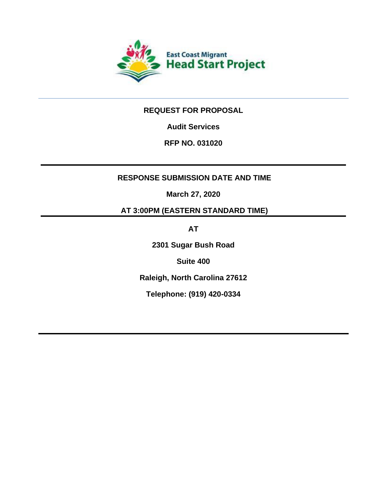

# **REQUEST FOR PROPOSAL**

**Audit Services** 

# **RFP NO. 031020**

# **RESPONSE SUBMISSION DATE AND TIME**

**March 27, 2020**

**AT 3:00PM (EASTERN STANDARD TIME)** 

**AT**

**2301 Sugar Bush Road**

**Suite 400** 

**Raleigh, North Carolina 27612**

**Telephone: (919) 420-0334**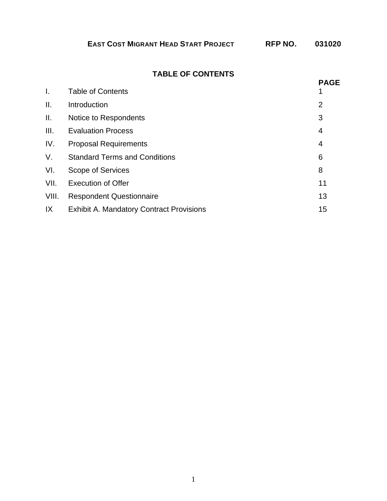| <b>EAST COST MIGRANT HEAD START PROJECT</b> | RFP NO. | 031020 |
|---------------------------------------------|---------|--------|
|---------------------------------------------|---------|--------|

# **TABLE OF CONTENTS**

|       |                                                 | <b>PAGE</b>    |
|-------|-------------------------------------------------|----------------|
| I.    | <b>Table of Contents</b>                        |                |
| ΙΙ.   | Introduction                                    | $\overline{2}$ |
| Ш.    | Notice to Respondents                           | 3              |
| III.  | <b>Evaluation Process</b>                       | 4              |
| IV.   | <b>Proposal Requirements</b>                    | $\overline{4}$ |
| V.    | <b>Standard Terms and Conditions</b>            | 6              |
| VI.   | Scope of Services                               | 8              |
| VII.  | <b>Execution of Offer</b>                       | 11             |
| VIII. | <b>Respondent Questionnaire</b>                 | 13             |
| IX    | <b>Exhibit A. Mandatory Contract Provisions</b> | 15             |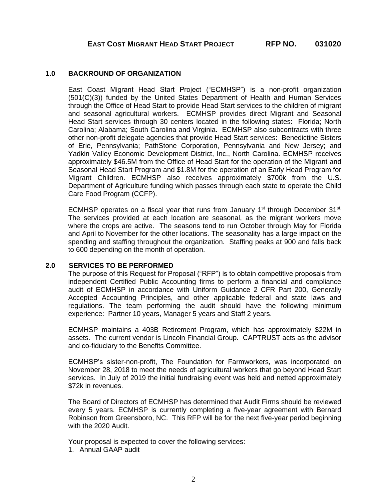#### **1.0 BACKROUND OF ORGANIZATION**

East Coast Migrant Head Start Project ("ECMHSP") is a non-profit organization (501(C)(3)) funded by the United States Department of Health and Human Services through the Office of Head Start to provide Head Start services to the children of migrant and seasonal agricultural workers. ECMHSP provides direct Migrant and Seasonal Head Start services through 30 centers located in the following states: Florida; North Carolina; Alabama; South Carolina and Virginia. ECMHSP also subcontracts with three other non-profit delegate agencies that provide Head Start services: Benedictine Sisters of Erie, Pennsylvania; PathStone Corporation, Pennsylvania and New Jersey; and Yadkin Valley Economic Development District, Inc., North Carolina. ECMHSP receives approximately \$46.5M from the Office of Head Start for the operation of the Migrant and Seasonal Head Start Program and \$1.8M for the operation of an Early Head Program for Migrant Children. ECMHSP also receives approximately \$700k from the U.S. Department of Agriculture funding which passes through each state to operate the Child Care Food Program (CCFP).

ECMHSP operates on a fiscal year that runs from January 1<sup>st</sup> through December 31<sup>st.</sup> The services provided at each location are seasonal, as the migrant workers move where the crops are active. The seasons tend to run October through May for Florida and April to November for the other locations. The seasonality has a large impact on the spending and staffing throughout the organization. Staffing peaks at 900 and falls back to 600 depending on the month of operation.

#### **2.0 SERVICES TO BE PERFORMED**

The purpose of this Request for Proposal ("RFP") is to obtain competitive proposals from independent Certified Public Accounting firms to perform a financial and compliance audit of ECMHSP in accordance with Uniform Guidance 2 CFR Part 200, Generally Accepted Accounting Principles, and other applicable federal and state laws and regulations. The team performing the audit should have the following minimum experience: Partner 10 years, Manager 5 years and Staff 2 years.

ECMHSP maintains a 403B Retirement Program, which has approximately \$22M in assets. The current vendor is Lincoln Financial Group. CAPTRUST acts as the advisor and co-fiduciary to the Benefits Committee.

ECMHSP's sister-non-profit, The Foundation for Farmworkers, was incorporated on November 28, 2018 to meet the needs of agricultural workers that go beyond Head Start services. In July of 2019 the initial fundraising event was held and netted approximately \$72k in revenues.

The Board of Directors of ECMHSP has determined that Audit Firms should be reviewed every 5 years. ECMHSP is currently completing a five-year agreement with Bernard Robinson from Greensboro, NC. This RFP will be for the next five-year period beginning with the 2020 Audit.

Your proposal is expected to cover the following services:

1. Annual GAAP audit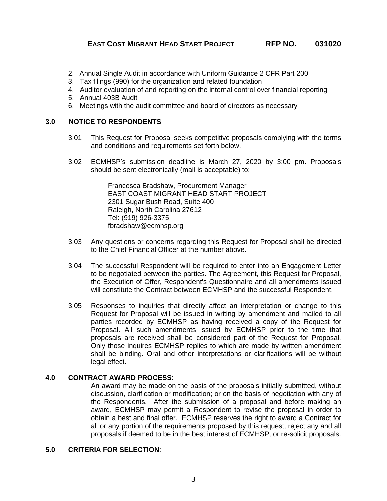- 2. Annual Single Audit in accordance with Uniform Guidance 2 CFR Part 200
- 3. Tax filings (990) for the organization and related foundation
- 4. Auditor evaluation of and reporting on the internal control over financial reporting
- 5. Annual 403B Audit
- 6. Meetings with the audit committee and board of directors as necessary

#### **3.0 NOTICE TO RESPONDENTS**

- 3.01 This Request for Proposal seeks competitive proposals complying with the terms and conditions and requirements set forth below.
- 3.02 ECMHSP's submission deadline is March 27, 2020 by 3:00 pm**.** Proposals should be sent electronically (mail is acceptable) to:

Francesca Bradshaw, Procurement Manager EAST COAST MIGRANT HEAD START PROJECT 2301 Sugar Bush Road, Suite 400 Raleigh, North Carolina 27612 Tel: (919) 926-3375 fbradshaw@ecmhsp.org

- 3.03 Any questions or concerns regarding this Request for Proposal shall be directed to the Chief Financial Officer at the number above.
- 3.04 The successful Respondent will be required to enter into an Engagement Letter to be negotiated between the parties. The Agreement, this Request for Proposal, the Execution of Offer, Respondent's Questionnaire and all amendments issued will constitute the Contract between ECMHSP and the successful Respondent.
- 3.05 Responses to inquiries that directly affect an interpretation or change to this Request for Proposal will be issued in writing by amendment and mailed to all parties recorded by ECMHSP as having received a copy of the Request for Proposal. All such amendments issued by ECMHSP prior to the time that proposals are received shall be considered part of the Request for Proposal. Only those inquires ECMHSP replies to which are made by written amendment shall be binding. Oral and other interpretations or clarifications will be without legal effect.

#### **4.0 CONTRACT AWARD PROCESS**:

An award may be made on the basis of the proposals initially submitted, without discussion, clarification or modification; or on the basis of negotiation with any of the Respondents. After the submission of a proposal and before making an award, ECMHSP may permit a Respondent to revise the proposal in order to obtain a best and final offer. ECMHSP reserves the right to award a Contract for all or any portion of the requirements proposed by this request, reject any and all proposals if deemed to be in the best interest of ECMHSP, or re-solicit proposals.

#### **5.0 CRITERIA FOR SELECTION**: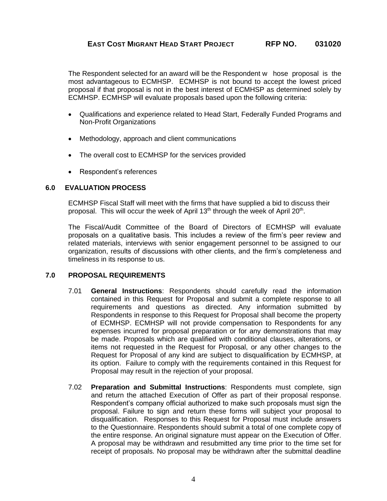The Respondent selected for an award will be the Respondent w hose proposal is the most advantageous to ECMHSP. ECMHSP is not bound to accept the lowest priced proposal if that proposal is not in the best interest of ECMHSP as determined solely by ECMHSP. ECMHSP will evaluate proposals based upon the following criteria:

- Qualifications and experience related to Head Start, Federally Funded Programs and Non-Profit Organizations
- Methodology, approach and client communications
- The overall cost to ECMHSP for the services provided
- Respondent's references

### **6.0 EVALUATION PROCESS**

ECMHSP Fiscal Staff will meet with the firms that have supplied a bid to discuss their proposal. This will occur the week of April 13<sup>th</sup> through the week of April 20<sup>th</sup>.

The Fiscal/Audit Committee of the Board of Directors of ECMHSP will evaluate proposals on a qualitative basis. This includes a review of the firm's peer review and related materials, interviews with senior engagement personnel to be assigned to our organization, results of discussions with other clients, and the firm's completeness and timeliness in its response to us.

#### **7.0 PROPOSAL REQUIREMENTS**

- 7.01 **General Instructions**: Respondents should carefully read the information contained in this Request for Proposal and submit a complete response to all requirements and questions as directed. Any information submitted by Respondents in response to this Request for Proposal shall become the property of ECMHSP. ECMHSP will not provide compensation to Respondents for any expenses incurred for proposal preparation or for any demonstrations that may be made. Proposals which are qualified with conditional clauses, alterations, or items not requested in the Request for Proposal, or any other changes to the Request for Proposal of any kind are subject to disqualification by ECMHSP, at its option. Failure to comply with the requirements contained in this Request for Proposal may result in the rejection of your proposal.
- 7.02 **Preparation and Submittal Instructions**: Respondents must complete, sign and return the attached Execution of Offer as part of their proposal response. Respondent's company official authorized to make such proposals must sign the proposal. Failure to sign and return these forms will subject your proposal to disqualification. Responses to this Request for Proposal must include answers to the Questionnaire. Respondents should submit a total of one complete copy of the entire response. An original signature must appear on the Execution of Offer. A proposal may be withdrawn and resubmitted any time prior to the time set for receipt of proposals. No proposal may be withdrawn after the submittal deadline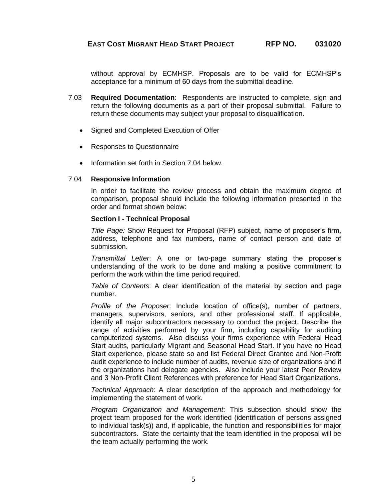without approval by ECMHSP. Proposals are to be valid for ECMHSP's acceptance for a minimum of 60 days from the submittal deadline.

- 7.03 **Required Documentation**: Respondents are instructed to complete, sign and return the following documents as a part of their proposal submittal. Failure to return these documents may subject your proposal to disqualification.
	- Signed and Completed Execution of Offer
	- Responses to Questionnaire
	- Information set forth in Section 7.04 below.

#### 7.04 **Responsive Information**

In order to facilitate the review process and obtain the maximum degree of comparison, proposal should include the following information presented in the order and format shown below:

#### **Section I - Technical Proposal**

*Title Page:* Show Request for Proposal (RFP) subject, name of proposer's firm, address, telephone and fax numbers, name of contact person and date of submission.

*Transmittal Letter*: A one or two-page summary stating the proposer's understanding of the work to be done and making a positive commitment to perform the work within the time period required.

*Table of Contents*: A clear identification of the material by section and page number.

*Profile of the Proposer*: Include location of office(s), number of partners, managers, supervisors, seniors, and other professional staff. If applicable, identify all major subcontractors necessary to conduct the project. Describe the range of activities performed by your firm, including capability for auditing computerized systems. Also discuss your firms experience with Federal Head Start audits, particularly Migrant and Seasonal Head Start. If you have no Head Start experience, please state so and list Federal Direct Grantee and Non-Profit audit experience to include number of audits, revenue size of organizations and if the organizations had delegate agencies. Also include your latest Peer Review and 3 Non-Profit Client References with preference for Head Start Organizations.

*Technical Approach*: A clear description of the approach and methodology for implementing the statement of work.

*Program Organization and Management*: This subsection should show the project team proposed for the work identified (identification of persons assigned to individual task(s)) and, if applicable, the function and responsibilities for major subcontractors. State the certainty that the team identified in the proposal will be the team actually performing the work.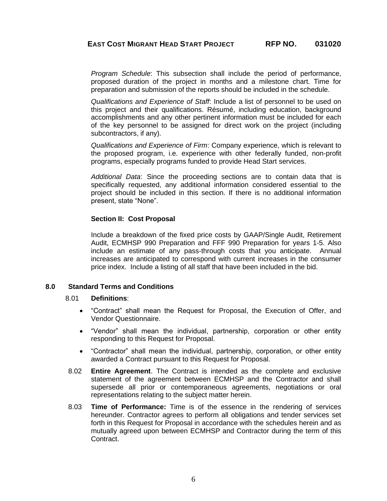*Program Schedule*: This subsection shall include the period of performance, proposed duration of the project in months and a milestone chart. Time for preparation and submission of the reports should be included in the schedule.

*Qualifications and Experience of Staff*: Include a list of personnel to be used on this project and their qualifications. Résumé, including education, background accomplishments and any other pertinent information must be included for each of the key personnel to be assigned for direct work on the project (including subcontractors, if any).

*Qualifications and Experience of Firm*: Company experience, which is relevant to the proposed program, i.e. experience with other federally funded, non-profit programs, especially programs funded to provide Head Start services.

*Additional Data*: Since the proceeding sections are to contain data that is specifically requested, any additional information considered essential to the project should be included in this section. If there is no additional information present, state "None".

#### **Section II: Cost Proposal**

Include a breakdown of the fixed price costs by GAAP/Single Audit, Retirement Audit, ECMHSP 990 Preparation and FFF 990 Preparation for years 1-5. Also include an estimate of any pass-through costs that you anticipate. Annual increases are anticipated to correspond with current increases in the consumer price index. Include a listing of all staff that have been included in the bid.

#### **8.0 Standard Terms and Conditions**

#### 8.01 **Definitions**:

- "Contract" shall mean the Request for Proposal, the Execution of Offer, and Vendor Questionnaire.
- "Vendor" shall mean the individual, partnership, corporation or other entity responding to this Request for Proposal.
- "Contractor" shall mean the individual, partnership, corporation, or other entity awarded a Contract pursuant to this Request for Proposal.
- 8.02 **Entire Agreement**. The Contract is intended as the complete and exclusive statement of the agreement between ECMHSP and the Contractor and shall supersede all prior or contemporaneous agreements, negotiations or oral representations relating to the subject matter herein.
- 8.03 **Time of Performance:** Time is of the essence in the rendering of services hereunder. Contractor agrees to perform all obligations and tender services set forth in this Request for Proposal in accordance with the schedules herein and as mutually agreed upon between ECMHSP and Contractor during the term of this Contract.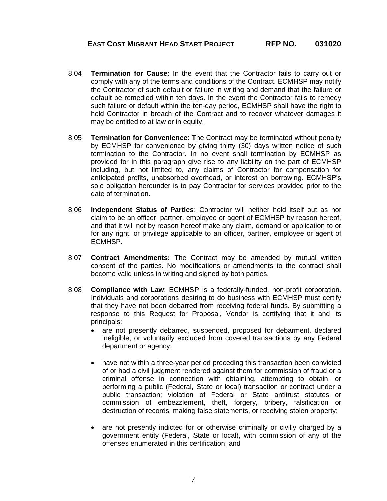- 8.04 **Termination for Cause:** In the event that the Contractor fails to carry out or comply with any of the terms and conditions of the Contract, ECMHSP may notify the Contractor of such default or failure in writing and demand that the failure or default be remedied within ten days. In the event the Contractor fails to remedy such failure or default within the ten-day period, ECMHSP shall have the right to hold Contractor in breach of the Contract and to recover whatever damages it may be entitled to at law or in equity.
- 8.05 **Termination for Convenience**: The Contract may be terminated without penalty by ECMHSP for convenience by giving thirty (30) days written notice of such termination to the Contractor. In no event shall termination by ECMHSP as provided for in this paragraph give rise to any liability on the part of ECMHSP including, but not limited to, any claims of Contractor for compensation for anticipated profits, unabsorbed overhead, or interest on borrowing. ECMHSP's sole obligation hereunder is to pay Contractor for services provided prior to the date of termination.
- 8.06 **Independent Status of Parties**: Contractor will neither hold itself out as nor claim to be an officer, partner, employee or agent of ECMHSP by reason hereof, and that it will not by reason hereof make any claim, demand or application to or for any right, or privilege applicable to an officer, partner, employee or agent of ECMHSP.
- 8.07 **Contract Amendments:** The Contract may be amended by mutual written consent of the parties. No modifications or amendments to the contract shall become valid unless in writing and signed by both parties.
- 8.08 **Compliance with Law**: ECMHSP is a federally-funded, non-profit corporation. Individuals and corporations desiring to do business with ECMHSP must certify that they have not been debarred from receiving federal funds. By submitting a response to this Request for Proposal, Vendor is certifying that it and its principals:
	- are not presently debarred, suspended, proposed for debarment, declared ineligible, or voluntarily excluded from covered transactions by any Federal department or agency;
	- have not within a three-year period preceding this transaction been convicted of or had a civil judgment rendered against them for commission of fraud or a criminal offense in connection with obtaining, attempting to obtain, or performing a public (Federal, State or local) transaction or contract under a public transaction; violation of Federal or State antitrust statutes or commission of embezzlement, theft, forgery, bribery, falsification or destruction of records, making false statements, or receiving stolen property;
	- are not presently indicted for or otherwise criminally or civilly charged by a government entity (Federal, State or local), with commission of any of the offenses enumerated in this certification; and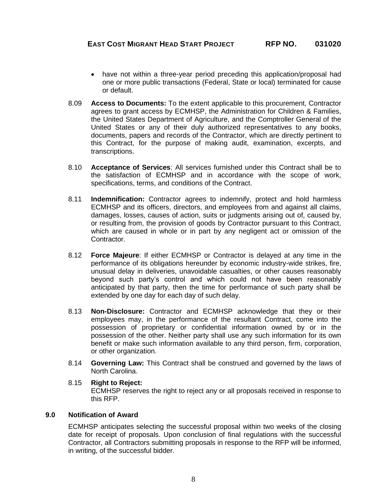- have not within a three-year period preceding this application/proposal had one or more public transactions (Federal, State or local) terminated for cause or default.
- 8.09 **Access to Documents:** To the extent applicable to this procurement, Contractor agrees to grant access by ECMHSP, the Administration for Children & Families, the United States Department of Agriculture, and the Comptroller General of the United States or any of their duly authorized representatives to any books, documents, papers and records of the Contractor, which are directly pertinent to this Contract, for the purpose of making audit, examination, excerpts, and transcriptions.
- 8.10 **Acceptance of Services**: All services furnished under this Contract shall be to the satisfaction of ECMHSP and in accordance with the scope of work, specifications, terms, and conditions of the Contract.
- 8.11 **Indemnification:** Contractor agrees to indemnify, protect and hold harmless ECMHSP and its officers, directors, and employees from and against all claims, damages, losses, causes of action, suits or judgments arising out of, caused by, or resulting from, the provision of goods by Contractor pursuant to this Contract, which are caused in whole or in part by any negligent act or omission of the Contractor.
- 8.12 **Force Majeure**: If either ECMHSP or Contractor is delayed at any time in the performance of its obligations hereunder by economic industry-wide strikes, fire, unusual delay in deliveries, unavoidable casualties, or other causes reasonably beyond such party's control and which could not have been reasonably anticipated by that party, then the time for performance of such party shall be extended by one day for each day of such delay.
- 8.13 **Non-Disclosure:** Contractor and ECMHSP acknowledge that they or their employees may, in the performance of the resultant Contract, come into the possession of proprietary or confidential information owned by or in the possession of the other. Neither party shall use any such information for its own benefit or make such information available to any third person, firm, corporation, or other organization.
- 8.14 **Governing Law:** This Contract shall be construed and governed by the laws of North Carolina.
- 8.15 **Right to Reject:** ECMHSP reserves the right to reject any or all proposals received in response to this RFP.

## **9.0 Notification of Award**

ECMHSP anticipates selecting the successful proposal within two weeks of the closing date for receipt of proposals. Upon conclusion of final regulations with the successful Contractor, all Contractors submitting proposals in response to the RFP will be informed, in writing, of the successful bidder.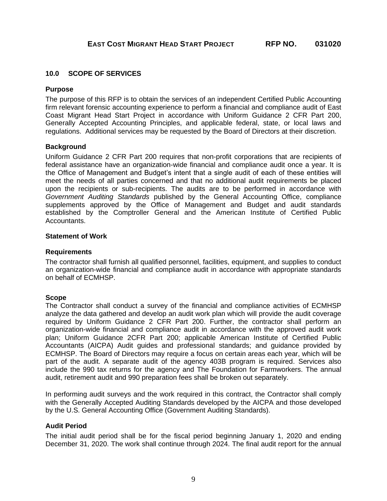#### **10.0 SCOPE OF SERVICES**

#### **Purpose**

The purpose of this RFP is to obtain the services of an independent Certified Public Accounting firm relevant forensic accounting experience to perform a financial and compliance audit of East Coast Migrant Head Start Project in accordance with Uniform Guidance 2 CFR Part 200, Generally Accepted Accounting Principles, and applicable federal, state, or local laws and regulations. Additional services may be requested by the Board of Directors at their discretion.

#### **Background**

Uniform Guidance 2 CFR Part 200 requires that non-profit corporations that are recipients of federal assistance have an organization-wide financial and compliance audit once a year. It is the Office of Management and Budget's intent that a single audit of each of these entities will meet the needs of all parties concerned and that no additional audit requirements be placed upon the recipients or sub-recipients. The audits are to be performed in accordance with *Government Auditing Standards* published by the General Accounting Office, compliance supplements approved by the Office of Management and Budget and audit standards established by the Comptroller General and the American Institute of Certified Public Accountants.

#### **Statement of Work**

#### **Requirements**

The contractor shall furnish all qualified personnel, facilities, equipment, and supplies to conduct an organization-wide financial and compliance audit in accordance with appropriate standards on behalf of ECMHSP.

#### **Scope**

The Contractor shall conduct a survey of the financial and compliance activities of ECMHSP analyze the data gathered and develop an audit work plan which will provide the audit coverage required by Uniform Guidance 2 CFR Part 200. Further, the contractor shall perform an organization-wide financial and compliance audit in accordance with the approved audit work plan; Uniform Guidance 2CFR Part 200; applicable American Institute of Certified Public Accountants (AICPA) Audit guides and professional standards; and guidance provided by ECMHSP. The Board of Directors may require a focus on certain areas each year, which will be part of the audit. A separate audit of the agency 403B program is required. Services also include the 990 tax returns for the agency and The Foundation for Farmworkers. The annual audit, retirement audit and 990 preparation fees shall be broken out separately.

In performing audit surveys and the work required in this contract, the Contractor shall comply with the Generally Accepted Auditing Standards developed by the AICPA and those developed by the U.S. General Accounting Office (Government Auditing Standards).

### **Audit Period**

The initial audit period shall be for the fiscal period beginning January 1, 2020 and ending December 31, 2020. The work shall continue through 2024. The final audit report for the annual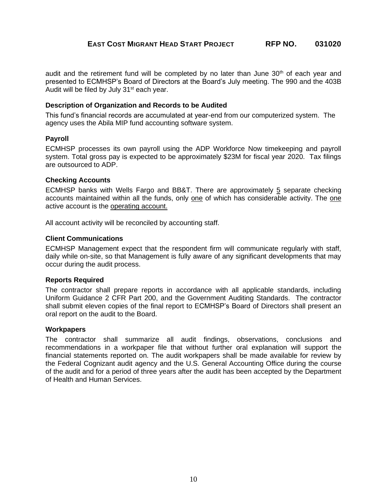audit and the retirement fund will be completed by no later than June  $30<sup>th</sup>$  of each year and presented to ECMHSP's Board of Directors at the Board's July meeting. The 990 and the 403B Audit will be filed by July 31<sup>st</sup> each year.

#### **Description of Organization and Records to be Audited**

This fund's financial records are accumulated at year-end from our computerized system. The agency uses the Abila MIP fund accounting software system.

#### **Payroll**

ECMHSP processes its own payroll using the ADP Workforce Now timekeeping and payroll system. Total gross pay is expected to be approximately \$23M for fiscal year 2020. Tax filings are outsourced to ADP.

#### **Checking Accounts**

ECMHSP banks with Wells Fargo and BB&T. There are approximately 5 separate checking accounts maintained within all the funds, only one of which has considerable activity. The one active account is the operating account.

All account activity will be reconciled by accounting staff.

#### **Client Communications**

ECMHSP Management expect that the respondent firm will communicate regularly with staff, daily while on-site, so that Management is fully aware of any significant developments that may occur during the audit process.

#### **Reports Required**

The contractor shall prepare reports in accordance with all applicable standards, including Uniform Guidance 2 CFR Part 200, and the Government Auditing Standards. The contractor shall submit eleven copies of the final report to ECMHSP's Board of Directors shall present an oral report on the audit to the Board.

#### **Workpapers**

The contractor shall summarize all audit findings, observations, conclusions and recommendations in a workpaper file that without further oral explanation will support the financial statements reported on. The audit workpapers shall be made available for review by the Federal Cognizant audit agency and the U.S. General Accounting Office during the course of the audit and for a period of three years after the audit has been accepted by the Department of Health and Human Services.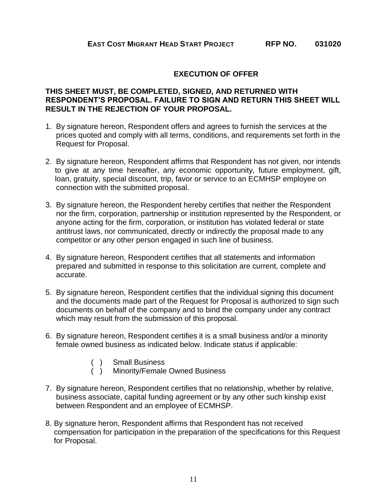# **EXECUTION OF OFFER**

# **THIS SHEET MUST, BE COMPLETED, SIGNED, AND RETURNED WITH RESPONDENT'S PROPOSAL. FAILURE TO SIGN AND RETURN THIS SHEET WILL RESULT IN THE REJECTION OF YOUR PROPOSAL.**

- 1. By signature hereon, Respondent offers and agrees to furnish the services at the prices quoted and comply with all terms, conditions, and requirements set forth in the Request for Proposal.
- 2. By signature hereon, Respondent affirms that Respondent has not given, nor intends to give at any time hereafter, any economic opportunity, future employment, gift, loan, gratuity, special discount, trip, favor or service to an ECMHSP employee on connection with the submitted proposal.
- 3. By signature hereon, the Respondent hereby certifies that neither the Respondent nor the firm, corporation, partnership or institution represented by the Respondent, or anyone acting for the firm, corporation, or institution has violated federal or state antitrust laws, nor communicated, directly or indirectly the proposal made to any competitor or any other person engaged in such line of business.
- 4. By signature hereon, Respondent certifies that all statements and information prepared and submitted in response to this solicitation are current, complete and accurate.
- 5. By signature hereon, Respondent certifies that the individual signing this document and the documents made part of the Request for Proposal is authorized to sign such documents on behalf of the company and to bind the company under any contract which may result from the submission of this proposal.
- 6. By signature hereon, Respondent certifies it is a small business and/or a minority female owned business as indicated below. Indicate status if applicable:
	- ( ) Small Business<br>( ) Minority/Female
		- Minority/Female Owned Business
- 7. By signature hereon, Respondent certifies that no relationship, whether by relative, business associate, capital funding agreement or by any other such kinship exist between Respondent and an employee of ECMHSP.
- 8. By signature heron, Respondent affirms that Respondent has not received compensation for participation in the preparation of the specifications for this Request for Proposal.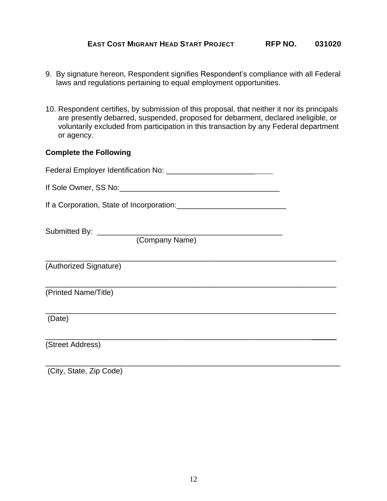- 9. By signature hereon, Respondent signifies Respondent's compliance with all Federal laws and regulations pertaining to equal employment opportunities.
- 10. Respondent certifies, by submission of this proposal, that neither it nor its principals are presently debarred, suspended, proposed for debarment, declared ineligible, or voluntarily excluded from participation in this transaction by any Federal department or agency.

# **Complete the Following**

| (Company Name)         |  |
|------------------------|--|
| (Authorized Signature) |  |
| (Printed Name/Title)   |  |
| (Date)                 |  |
| (Street Address)       |  |
|                        |  |

(City, State, Zip Code)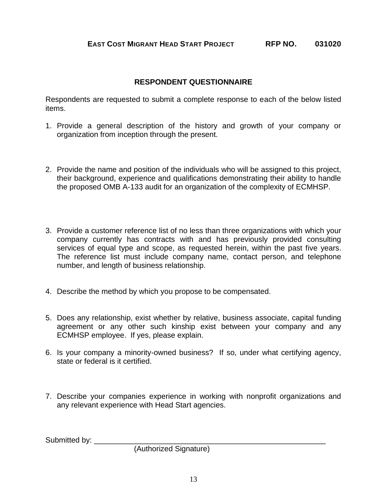# **RESPONDENT QUESTIONNAIRE**

Respondents are requested to submit a complete response to each of the below listed items.

- 1. Provide a general description of the history and growth of your company or organization from inception through the present.
- 2. Provide the name and position of the individuals who will be assigned to this project, their background, experience and qualifications demonstrating their ability to handle the proposed OMB A-133 audit for an organization of the complexity of ECMHSP.
- 3. Provide a customer reference list of no less than three organizations with which your company currently has contracts with and has previously provided consulting services of equal type and scope, as requested herein, within the past five years. The reference list must include company name, contact person, and telephone number, and length of business relationship.
- 4. Describe the method by which you propose to be compensated.
- 5. Does any relationship, exist whether by relative, business associate, capital funding agreement or any other such kinship exist between your company and any ECMHSP employee. If yes, please explain.
- 6. Is your company a minority-owned business? If so, under what certifying agency, state or federal is it certified.
- 7. Describe your companies experience in working with nonprofit organizations and any relevant experience with Head Start agencies.

Submitted by:

(Authorized Signature)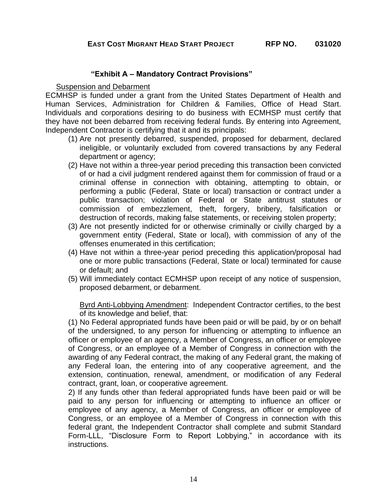# **"Exhibit A – Mandatory Contract Provisions"**

Suspension and Debarment

ECMHSP is funded under a grant from the United States Department of Health and Human Services, Administration for Children & Families, Office of Head Start. Individuals and corporations desiring to do business with ECMHSP must certify that they have not been debarred from receiving federal funds. By entering into Agreement, Independent Contractor is certifying that it and its principals:

- (1) Are not presently debarred, suspended, proposed for debarment, declared ineligible, or voluntarily excluded from covered transactions by any Federal department or agency;
- (2) Have not within a three-year period preceding this transaction been convicted of or had a civil judgment rendered against them for commission of fraud or a criminal offense in connection with obtaining, attempting to obtain, or performing a public (Federal, State or local) transaction or contract under a public transaction; violation of Federal or State antitrust statutes or commission of embezzlement, theft, forgery, bribery, falsification or destruction of records, making false statements, or receiving stolen property;
- (3) Are not presently indicted for or otherwise criminally or civilly charged by a government entity (Federal, State or local), with commission of any of the offenses enumerated in this certification;
- (4) Have not within a three-year period preceding this application/proposal had one or more public transactions (Federal, State or local) terminated for cause or default; and
- (5) Will immediately contact ECMHSP upon receipt of any notice of suspension, proposed debarment, or debarment.

Byrd Anti-Lobbying Amendment: Independent Contractor certifies, to the best of its knowledge and belief, that:

(1) No Federal appropriated funds have been paid or will be paid, by or on behalf of the undersigned, to any person for influencing or attempting to influence an officer or employee of an agency, a Member of Congress, an officer or employee of Congress, or an employee of a Member of Congress in connection with the awarding of any Federal contract, the making of any Federal grant, the making of any Federal loan, the entering into of any cooperative agreement, and the extension, continuation, renewal, amendment, or modification of any Federal contract, grant, loan, or cooperative agreement.

2) If any funds other than federal appropriated funds have been paid or will be paid to any person for influencing or attempting to influence an officer or employee of any agency, a Member of Congress, an officer or employee of Congress, or an employee of a Member of Congress in connection with this federal grant, the Independent Contractor shall complete and submit Standard Form-LLL, "Disclosure Form to Report Lobbying," in accordance with its instructions.